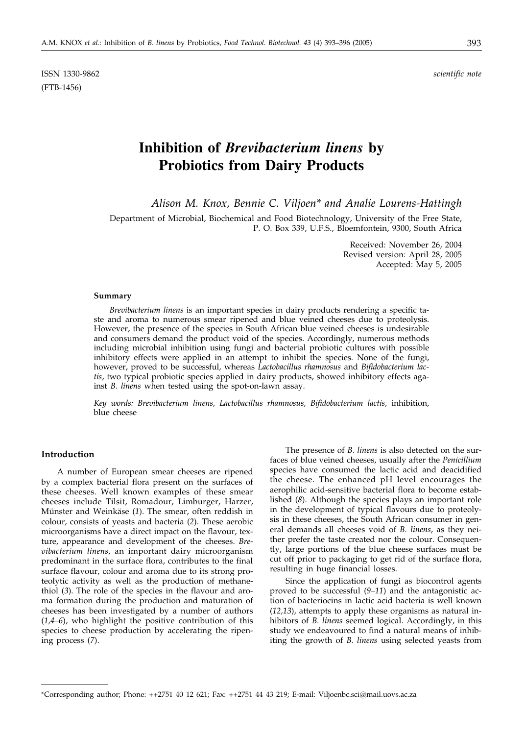ISSN 1330-9862 *scientific note* (FTB-1456)

# **Inhibition of** *Brevibacterium linens* **by Probiotics from Dairy Products**

*Alison M. Knox, Bennie C. Viljoen\* and Analie Lourens-Hattingh*

Department of Microbial, Biochemical and Food Biotechnology, University of the Free State, P. O. Box 339, U.F.S., Bloemfontein, 9300, South Africa

> Received: November 26, 2004 Revised version: April 28, 2005 Accepted: May 5, 2005

#### **Summary**

*Brevibacterium linens* is an important species in dairy products rendering a specific taste and aroma to numerous smear ripened and blue veined cheeses due to proteolysis. However, the presence of the species in South African blue veined cheeses is undesirable and consumers demand the product void of the species. Accordingly, numerous methods including microbial inhibition using fungi and bacterial probiotic cultures with possible inhibitory effects were applied in an attempt to inhibit the species. None of the fungi, however, proved to be successful, whereas *Lactobacillus rhamnosus* and *Bifidobacterium lactis*, two typical probiotic species applied in dairy products, showed inhibitory effects against *B. linens* when tested using the spot-on-lawn assay.

*Key words: Brevibacterium linens, Lactobacillus rhamnosus, Bifidobacterium lactis,* inhibition, blue cheese

# **Introduction**

A number of European smear cheeses are ripened by a complex bacterial flora present on the surfaces of these cheeses. Well known examples of these smear cheeses include Tilsit, Romadour, Limburger, Harzer, Münster and Weinkäse (*1*). The smear, often reddish in colour, consists of yeasts and bacteria (*2*). These aerobic microorganisms have a direct impact on the flavour, texture, appearance and development of the cheeses. *Brevibacterium linens*, an important dairy microorganism predominant in the surface flora, contributes to the final surface flavour, colour and aroma due to its strong proteolytic activity as well as the production of methanethiol (*3*). The role of the species in the flavour and aroma formation during the production and maturation of cheeses has been investigated by a number of authors (*1,4–6*), who highlight the positive contribution of this species to cheese production by accelerating the ripening process (*7*).

The presence of *B. linens* is also detected on the surfaces of blue veined cheeses, usually after the *Penicillium* species have consumed the lactic acid and deacidified the cheese. The enhanced pH level encourages the aerophilic acid-sensitive bacterial flora to become established (*8*). Although the species plays an important role in the development of typical flavours due to proteolysis in these cheeses, the South African consumer in general demands all cheeses void of *B. linens*, as they neither prefer the taste created nor the colour. Consequently, large portions of the blue cheese surfaces must be cut off prior to packaging to get rid of the surface flora, resulting in huge financial losses.

Since the application of fungi as biocontrol agents proved to be successful (*9–11*) and the antagonistic action of bacteriocins in lactic acid bacteria is well known (*12,13*), attempts to apply these organisms as natural inhibitors of *B. linens* seemed logical. Accordingly, in this study we endeavoured to find a natural means of inhibiting the growth of *B. linens* using selected yeasts from

<sup>\*</sup>Corresponding author; Phone: ++2751 40 12 621; Fax: ++2751 44 43 219; E-mail: Viljoenbc.sci@mail.uovs.ac.za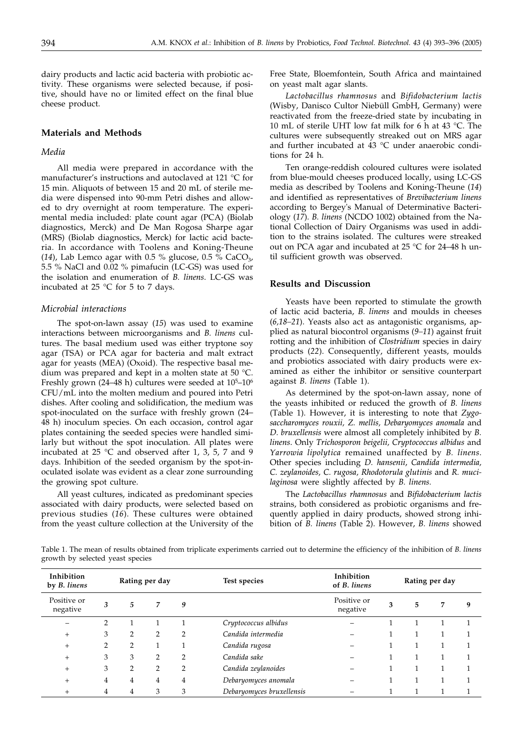dairy products and lactic acid bacteria with probiotic activity*.* These organisms were selected because, if positive, should have no or limited effect on the final blue cheese product.

## **Materials and Methods**

# *Media*

All media were prepared in accordance with the manufacturer's instructions and autoclaved at 121 °C for 15 min. Aliquots of between 15 and 20 mL of sterile media were dispensed into 90-mm Petri dishes and allowed to dry overnight at room temperature. The experimental media included: plate count agar (PCA) (Biolab diagnostics, Merck) and De Man Rogosa Sharpe agar (MRS) (Biolab diagnostics, Merck) for lactic acid bacteria. In accordance with Toolens and Koning-Theune (14), Lab Lemco agar with 0.5 % glucose, 0.5 % CaCO<sub>3</sub>, 5.5 % NaCl and 0.02 % pimafucin (LC-GS) was used for the isolation and enumeration of *B. linens*. LC-GS was incubated at 25 °C for 5 to 7 days.

## *Microbial interactions*

The spot-on-lawn assay (*15*) was used to examine interactions between microorganisms and *B. linens* cultures. The basal medium used was either tryptone soy agar (TSA) or PCA agar for bacteria and malt extract agar for yeasts (MEA) (Oxoid). The respective basal medium was prepared and kept in a molten state at 50 °C. Freshly grown (24–48 h) cultures were seeded at  $10^5$ – $10^6$ CFU/mL into the molten medium and poured into Petri dishes. After cooling and solidification, the medium was spot-inoculated on the surface with freshly grown (24– 48 h) inoculum species. On each occasion, control agar plates containing the seeded species were handled similarly but without the spot inoculation. All plates were incubated at 25 °C and observed after 1, 3, 5, 7 and 9 days. Inhibition of the seeded organism by the spot-inoculated isolate was evident as a clear zone surrounding the growing spot culture.

All yeast cultures, indicated as predominant species associated with dairy products, were selected based on previous studies (*16*). These cultures were obtained from the yeast culture collection at the University of the Free State, Bloemfontein, South Africa and maintained on yeast malt agar slants.

*Lactobacillus rhamnosus* and *Bifidobacterium lactis* (Wisby, Danisco Cultor Niebüll GmbH, Germany) were reactivated from the freeze-dried state by incubating in 10 mL of sterile UHT low fat milk for 6 h at 43 °C. The cultures were subsequently streaked out on MRS agar and further incubated at 43 °C under anaerobic conditions for 24 h.

Ten orange-reddish coloured cultures were isolated from blue-mould cheeses produced locally, using LC-GS media as described by Toolens and Koning-Theune (*14*) and identified as representatives of *Brevibacterium linens* according to Bergey's Manual of Determinative Bacteriology (*17*). *B. linens* (NCDO 1002) obtained from the National Collection of Dairy Organisms was used in addition to the strains isolated. The cultures were streaked out on PCA agar and incubated at 25 °C for 24–48 h until sufficient growth was observed.

#### **Results and Discussion**

Yeasts have been reported to stimulate the growth of lactic acid bacteria, *B. linens* and moulds in cheeses (*6,18–21*). Yeasts also act as antagonistic organisms, applied as natural biocontrol organisms (*9–11*) against fruit rotting and the inhibition of *Clostridium* species in dairy products (*22*). Consequently, different yeasts, moulds and probiotics associated with dairy products were examined as either the inhibitor or sensitive counterpart against *B. linens* (Table 1).

As determined by the spot-on-lawn assay, none of the yeasts inhibited or reduced the growth of *B. linens* (Table 1). However, it is interesting to note that *Zygosaccharomyces rouxii, Z. mellis, Debaryomyces anomala* and *D. bruxellensis* were almost all completely inhibited by *B. linens*. Only *Trichosporon beigelii, Cryptococcus albidus* and *Yarrowia lipolytica* remained unaffected by *B. linens*. Other species including *D. hansenii*, *Candida intermedia, C. zeylanoides, C. rugosa, Rhodotorula glutinis* and *R. mucilaginosa* were slightly affected by *B. linens.*

The *Lactobacillus rhamnosus* and *Bifidobacterium lactis* strains, both considered as probiotic organisms and frequently applied in dairy products, showed strong inhibition of *B. linens* (Table 2). However, *B. linens* showed

Table 1. The mean of results obtained from triplicate experiments carried out to determine the efficiency of the inhibition of *B. linens* growth by selected yeast species

| Inhibition<br>by <i>B</i> . linens | Rating per day |                |   |                | Test species              | Inhibition<br>of <i>B</i> . linens |   | Rating per day |   |   |  |
|------------------------------------|----------------|----------------|---|----------------|---------------------------|------------------------------------|---|----------------|---|---|--|
| Positive or<br>negative            | 3              | 5              | 7 | 9              |                           | Positive or<br>negative            | 3 | 5              | 7 | 9 |  |
|                                    | 2              |                |   |                | Cryptococcus albidus      |                                    |   |                |   |   |  |
| $^{+}$                             | 3              | $\overline{2}$ | 2 | $\overline{2}$ | Candida intermedia        |                                    |   |                |   |   |  |
| $^{+}$                             | 2              | $\overline{2}$ |   |                | Candida rugosa            |                                    |   |                |   |   |  |
| $^{+}$                             | 3              | 3              | 2 | $\overline{2}$ | Candida sake              |                                    |   | 1              | 1 |   |  |
| $^{+}$                             | 3              | $\overline{2}$ | 2 | $\overline{2}$ | Candida zeylanoides       |                                    |   |                |   |   |  |
| $^{+}$                             | 4              | 4              | 4 | 4              | Debaryomyces anomala      |                                    |   |                |   |   |  |
| $^{+}$                             | 4              | 4              | 3 | 3              | Debaryomyces bruxellensis |                                    |   |                |   |   |  |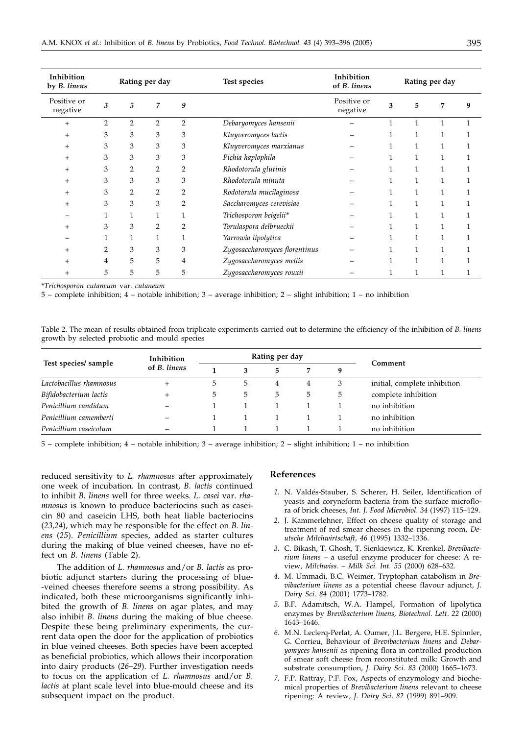| Inhibition<br>by B. linens               | Rating per day |                |                |                | Test species                  | Inhibition<br>of B. linens | Rating per day |              |              |   |
|------------------------------------------|----------------|----------------|----------------|----------------|-------------------------------|----------------------------|----------------|--------------|--------------|---|
| Positive or<br>$\operatorname{negative}$ | 3              | 5              | 7              | 9              |                               | Positive or<br>negative    | 3              | 5            | 7            | 9 |
| $^{+}$                                   | $\overline{2}$ | $\overline{2}$ | $\overline{2}$ | $\overline{2}$ | Debaryomyces hansenii         |                            |                | 1            | $\mathbf{1}$ |   |
| $^{+}$                                   | 3              | 3              | 3              | 3              | Kluyveromyces lactis          |                            |                | $\mathbf{1}$ | 1            |   |
| $\overline{+}$                           | 3              | 3              | 3              | 3              | Kluyveromyces marxianus       |                            |                | $\mathbf{1}$ | 1            |   |
| $\overline{+}$                           | 3              | 3              | 3              | 3              | Pichia haplophila             |                            |                | 1            |              |   |
| $^+$                                     | 3              | 2              | 2              | 2              | Rhodotorula glutinis          |                            |                | 1            |              |   |
| $^+$                                     | 3              | 3              | 3              | 3              | Rhodotorula minuta            |                            |                | $\mathbf{1}$ |              |   |
| $^+$                                     | 3              | 2              | 2              | 2              | Rodotorula mucilaginosa       |                            |                | $\mathbf{1}$ | 1            |   |
| $^+$                                     | 3              | 3              | 3              | 2              | Saccharomyces cerevisiae      |                            |                | 1            | 1            |   |
|                                          |                | 1              | 1              | 1              | Trichosporon beigelii*        |                            |                | 1            | 1            |   |
| $^+$                                     | 3              | 3              | 2              | $\overline{2}$ | Torulaspora delbrueckii       |                            |                | $\mathbf{1}$ |              |   |
|                                          |                |                | 1              |                | Yarrowia lipolytica           |                            |                | $\mathbf{1}$ |              |   |
| $^+$                                     | $\overline{2}$ | 3              | 3              | 3              | Zygosaccharomyces florentinus |                            |                | 1            |              |   |
| $\, + \,$                                | 4              | 5              | 5              | 4              | Zygosaccharomyces mellis      |                            |                | 1            |              |   |
| $^+$                                     | 5              | 5              | 5              | 5              | Zygosaccharomyces rouxii      |                            |                |              |              |   |

\**Trichosporon cutaneum* var. *cutaneum*

5 – complete inhibition; 4 – notable inhibition; 3 – average inhibition; 2 – slight inhibition; 1 – no inhibition

Table 2. The mean of results obtained from triplicate experiments carried out to determine the efficiency of the inhibition of *B. linens* growth by selected probiotic and mould species

|                         | Inhibition               | Rating per day |   |   |   |    |                              |
|-------------------------|--------------------------|----------------|---|---|---|----|------------------------------|
| Test species/ sample    | of B. linens             |                |   | 5 | 7 | q  | Comment                      |
| Lactobacillus rhamnosus |                          | 5              | 5 | 4 | 4 | 3  | initial, complete inhibition |
| Bifidobacterium lactis  |                          | 5              | 5 | 5 | 5 | 5. | complete inhibition          |
| Penicillium candidum    | $\overline{\phantom{0}}$ |                |   |   |   |    | no inhibition                |
| Penicillium camemberti  |                          |                |   |   |   |    | no inhibition                |
| Penicillium caseicolum  |                          |                |   |   |   |    | no inhibition                |

5 – complete inhibition; 4 – notable inhibition; 3 – average inhibition; 2 – slight inhibition; 1 – no inhibition

reduced sensitivity to *L. rhamnosus* after approximately one week of incubation. In contrast, *B. lactis* continued to inhibit *B. linens* well for three weeks. *L. casei* var. *rhamnosus* is known to produce bacteriocins such as caseicin 80 and caseicin LHS, both heat liable bacteriocins (*23,24*), which may be responsible for the effect on *B. linens* (*25*). *Penicillium* species, added as starter cultures during the making of blue veined cheeses, have no effect on *B. linens* (Table 2).

The addition of *L. rhamnosus* and/or *B. lactis* as probiotic adjunct starters during the processing of blue- -veined cheeses therefore seems a strong possibility. As indicated, both these microorganisms significantly inhibited the growth of *B. linens* on agar plates, and may also inhibit *B. linens* during the making of blue cheese. Despite these being preliminary experiments, the current data open the door for the application of probiotics in blue veined cheeses. Both species have been accepted as beneficial probiotics, which allows their incorporation into dairy products (*26–29*). Further investigation needs to focus on the application of *L. rhamnosus* and/or *B. lactis* at plant scale level into blue-mould cheese and its subsequent impact on the product.

#### **References**

- *1.* N. Valdés-Stauber, S. Scherer, H. Seiler, Identification of yeasts and coryneform bacteria from the surface microflora of brick cheeses, *Int. J. Food Microbiol. 34* (1997) 115–129.
- *2.* J. Kammerlehner, Effect on cheese quality of storage and treatment of red smear cheeses in the ripening room, *Deutsche Milchwirtschaft, 46* (1995) 1332–1336.
- *3.* C. Bikash, T. Ghosh, T. Sienkiewicz, K. Krenkel, *Brevibacterium linens* – a useful enzyme producer for cheese: A review, *Milchwiss. – Milk Sci. Int. 55* (2000) 628–632.
- *4.* M. Ummadi, B.C. Weimer, Tryptophan catabolism in *Brevibacterium linens* as a potential cheese flavour adjunct, *J. Dairy Sci*. *84* (2001) 1773–1782.
- *5.* B.F. Adamitsch, W.A. Hampel, Formation of lipolytica enzymes by *Brevibacterium linens, Biotechnol. Lett*. *22* (2000) 1643–1646.
- *6.* M.N. Leclerq-Perlat, A. Oumer, J.L. Bergere, H.E. Spinnler, G. Corrieu, Behaviour of *Brevibacterium linens* and *Debaryomyces hansenii* as ripening flora in controlled production of smear soft cheese from reconstituted milk: Growth and substrate consumption, *J. Dairy Sci*. *83* (2000) 1665–1673.
- *7.* F.P. Rattray, P.F. Fox, Aspects of enzymology and biochemical properties of *Brevibacterium linens* relevant to cheese ripening: A review, *J. Dairy Sci*. *82* (1999) 891–909.